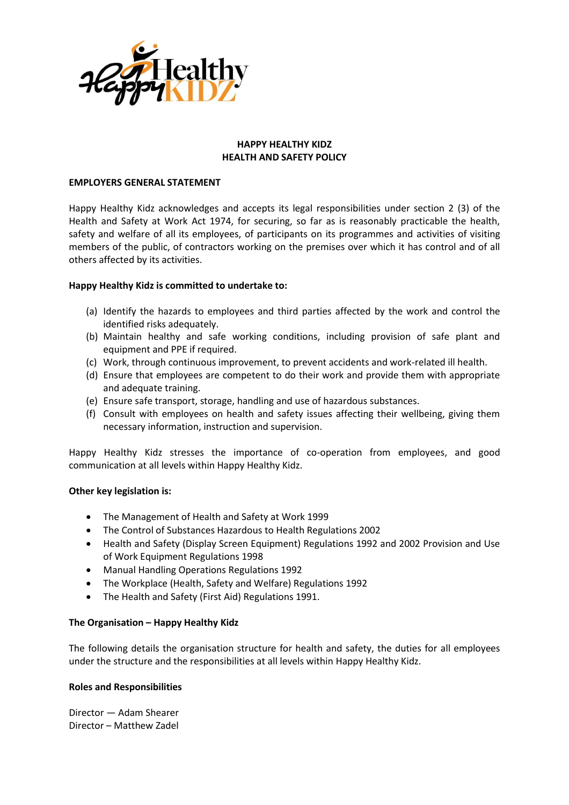

## **HAPPY HEALTHY KIDZ HEALTH AND SAFETY POLICY**

#### **EMPLOYERS GENERAL STATEMENT**

Happy Healthy Kidz acknowledges and accepts its legal responsibilities under section 2 (3) of the Health and Safety at Work Act 1974, for securing, so far as is reasonably practicable the health, safety and welfare of all its employees, of participants on its programmes and activities of visiting members of the public, of contractors working on the premises over which it has control and of all others affected by its activities.

#### **Happy Healthy Kidz is committed to undertake to:**

- (a) Identify the hazards to employees and third parties affected by the work and control the identified risks adequately.
- (b) Maintain healthy and safe working conditions, including provision of safe plant and equipment and PPE if required.
- (c) Work, through continuous improvement, to prevent accidents and work-related ill health.
- (d) Ensure that employees are competent to do their work and provide them with appropriate and adequate training.
- (e) Ensure safe transport, storage, handling and use of hazardous substances.
- (f) Consult with employees on health and safety issues affecting their wellbeing, giving them necessary information, instruction and supervision.

Happy Healthy Kidz stresses the importance of co-operation from employees, and good communication at all levels within Happy Healthy Kidz.

## **Other key legislation is:**

- The Management of Health and Safety at Work 1999
- The Control of Substances Hazardous to Health Regulations 2002
- Health and Safety (Display Screen Equipment) Regulations 1992 and 2002 Provision and Use of Work Equipment Regulations 1998
- Manual Handling Operations Regulations 1992
- The Workplace (Health, Safety and Welfare) Regulations 1992
- The Health and Safety (First Aid) Regulations 1991.

## **The Organisation – Happy Healthy Kidz**

The following details the organisation structure for health and safety, the duties for all employees under the structure and the responsibilities at all levels within Happy Healthy Kidz.

#### **Roles and Responsibilities**

Director — Adam Shearer Director – Matthew Zadel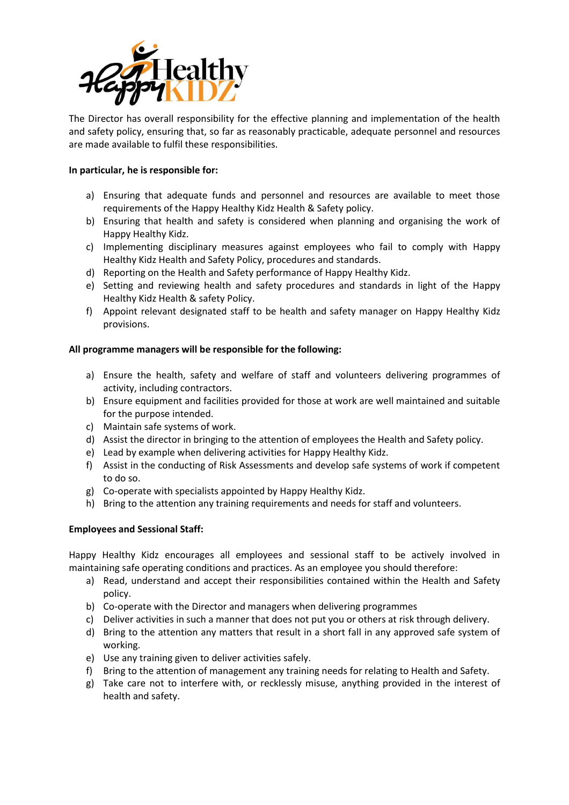

The Director has overall responsibility for the effective planning and implementation of the health and safety policy, ensuring that, so far as reasonably practicable, adequate personnel and resources are made available to fulfil these responsibilities.

## **In particular, he is responsible for:**

- a) Ensuring that adequate funds and personnel and resources are available to meet those requirements of the Happy Healthy Kidz Health & Safety policy.
- b) Ensuring that health and safety is considered when planning and organising the work of Happy Healthy Kidz.
- c) Implementing disciplinary measures against employees who fail to comply with Happy Healthy Kidz Health and Safety Policy, procedures and standards.
- d) Reporting on the Health and Safety performance of Happy Healthy Kidz.
- e) Setting and reviewing health and safety procedures and standards in light of the Happy Healthy Kidz Health & safety Policy.
- f) Appoint relevant designated staff to be health and safety manager on Happy Healthy Kidz provisions.

# **All programme managers will be responsible for the following:**

- a) Ensure the health, safety and welfare of staff and volunteers delivering programmes of activity, including contractors.
- b) Ensure equipment and facilities provided for those at work are well maintained and suitable for the purpose intended.
- c) Maintain safe systems of work.
- d) Assist the director in bringing to the attention of employees the Health and Safety policy.
- e) Lead by example when delivering activities for Happy Healthy Kidz.
- f) Assist in the conducting of Risk Assessments and develop safe systems of work if competent to do so.
- g) Co-operate with specialists appointed by Happy Healthy Kidz.
- h) Bring to the attention any training requirements and needs for staff and volunteers.

## **Employees and Sessional Staff:**

Happy Healthy Kidz encourages all employees and sessional staff to be actively involved in maintaining safe operating conditions and practices. As an employee you should therefore:

- a) Read, understand and accept their responsibilities contained within the Health and Safety policy.
- b) Co-operate with the Director and managers when delivering programmes
- c) Deliver activities in such a manner that does not put you or others at risk through delivery.
- d) Bring to the attention any matters that result in a short fall in any approved safe system of working.
- e) Use any training given to deliver activities safely.
- f) Bring to the attention of management any training needs for relating to Health and Safety.
- g) Take care not to interfere with, or recklessly misuse, anything provided in the interest of health and safety.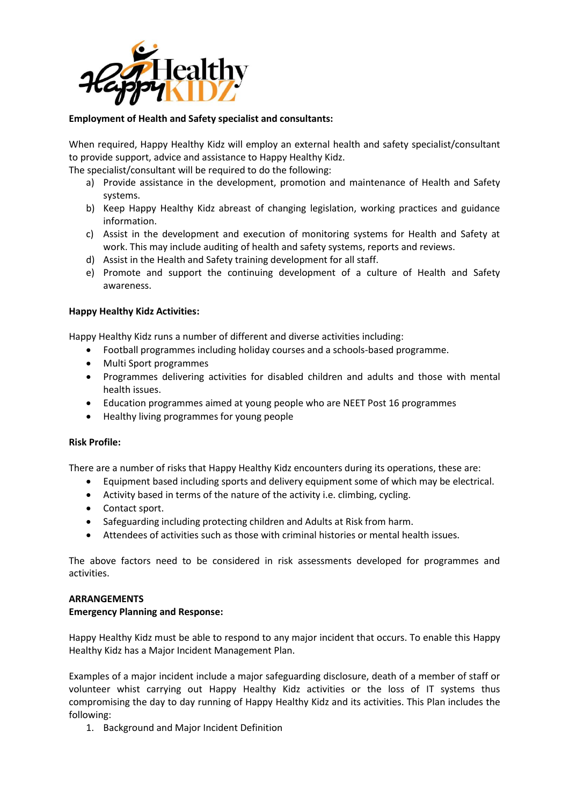

# **Employment of Health and Safety specialist and consultants:**

When required, Happy Healthy Kidz will employ an external health and safety specialist/consultant to provide support, advice and assistance to Happy Healthy Kidz.

The specialist/consultant will be required to do the following:

- a) Provide assistance in the development, promotion and maintenance of Health and Safety systems.
- b) Keep Happy Healthy Kidz abreast of changing legislation, working practices and guidance information.
- c) Assist in the development and execution of monitoring systems for Health and Safety at work. This may include auditing of health and safety systems, reports and reviews.
- d) Assist in the Health and Safety training development for all staff.
- e) Promote and support the continuing development of a culture of Health and Safety awareness.

#### **Happy Healthy Kidz Activities:**

Happy Healthy Kidz runs a number of different and diverse activities including:

- Football programmes including holiday courses and a schools-based programme.
- Multi Sport programmes
- Programmes delivering activities for disabled children and adults and those with mental health issues.
- Education programmes aimed at young people who are NEET Post 16 programmes
- Healthy living programmes for young people

## **Risk Profile:**

There are a number of risks that Happy Healthy Kidz encounters during its operations, these are:

- Equipment based including sports and delivery equipment some of which may be electrical.
- Activity based in terms of the nature of the activity i.e. climbing, cycling.
- Contact sport.
- Safeguarding including protecting children and Adults at Risk from harm.
- Attendees of activities such as those with criminal histories or mental health issues.

The above factors need to be considered in risk assessments developed for programmes and activities.

#### **ARRANGEMENTS**

## **Emergency Planning and Response:**

Happy Healthy Kidz must be able to respond to any major incident that occurs. To enable this Happy Healthy Kidz has a Major Incident Management Plan.

Examples of a major incident include a major safeguarding disclosure, death of a member of staff or volunteer whist carrying out Happy Healthy Kidz activities or the loss of IT systems thus compromising the day to day running of Happy Healthy Kidz and its activities. This Plan includes the following:

1. Background and Major Incident Definition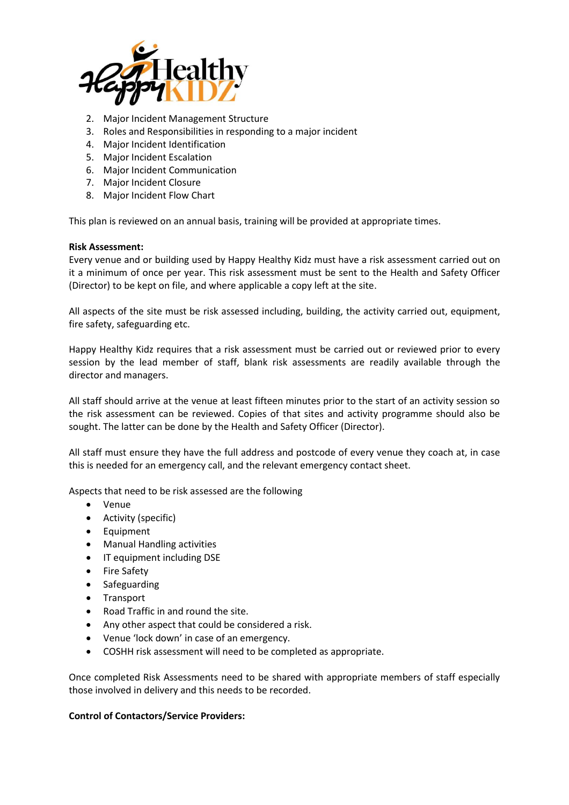

- 2. Major Incident Management Structure
- 3. Roles and Responsibilities in responding to a major incident
- 4. Major Incident Identification
- 5. Major Incident Escalation
- 6. Major Incident Communication
- 7. Major Incident Closure
- 8. Major Incident Flow Chart

This plan is reviewed on an annual basis, training will be provided at appropriate times.

#### **Risk Assessment:**

Every venue and or building used by Happy Healthy Kidz must have a risk assessment carried out on it a minimum of once per year. This risk assessment must be sent to the Health and Safety Officer (Director) to be kept on file, and where applicable a copy left at the site.

All aspects of the site must be risk assessed including, building, the activity carried out, equipment, fire safety, safeguarding etc.

Happy Healthy Kidz requires that a risk assessment must be carried out or reviewed prior to every session by the lead member of staff, blank risk assessments are readily available through the director and managers.

All staff should arrive at the venue at least fifteen minutes prior to the start of an activity session so the risk assessment can be reviewed. Copies of that sites and activity programme should also be sought. The latter can be done by the Health and Safety Officer (Director).

All staff must ensure they have the full address and postcode of every venue they coach at, in case this is needed for an emergency call, and the relevant emergency contact sheet.

Aspects that need to be risk assessed are the following

- Venue
- Activity (specific)
- Equipment
- Manual Handling activities
- IT equipment including DSE
- Fire Safety
- Safeguarding
- Transport
- Road Traffic in and round the site.
- Any other aspect that could be considered a risk.
- Venue 'lock down' in case of an emergency.
- COSHH risk assessment will need to be completed as appropriate.

Once completed Risk Assessments need to be shared with appropriate members of staff especially those involved in delivery and this needs to be recorded.

## **Control of Contactors/Service Providers:**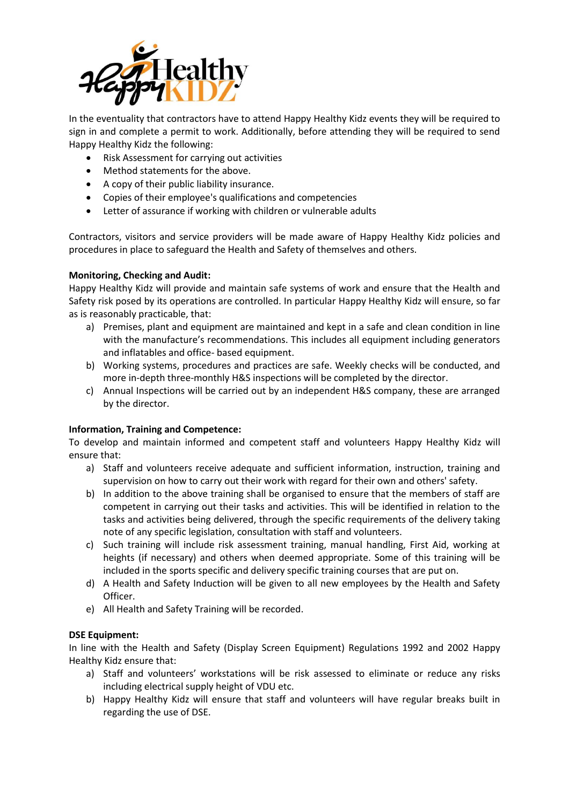

In the eventuality that contractors have to attend Happy Healthy Kidz events they will be required to sign in and complete a permit to work. Additionally, before attending they will be required to send Happy Healthy Kidz the following:

- Risk Assessment for carrying out activities
- Method statements for the above.
- A copy of their public liability insurance.
- Copies of their employee's qualifications and competencies
- Letter of assurance if working with children or vulnerable adults

Contractors, visitors and service providers will be made aware of Happy Healthy Kidz policies and procedures in place to safeguard the Health and Safety of themselves and others.

## **Monitoring, Checking and Audit:**

Happy Healthy Kidz will provide and maintain safe systems of work and ensure that the Health and Safety risk posed by its operations are controlled. In particular Happy Healthy Kidz will ensure, so far as is reasonably practicable, that:

- a) Premises, plant and equipment are maintained and kept in a safe and clean condition in line with the manufacture's recommendations. This includes all equipment including generators and inflatables and office- based equipment.
- b) Working systems, procedures and practices are safe. Weekly checks will be conducted, and more in-depth three-monthly H&S inspections will be completed by the director.
- c) Annual Inspections will be carried out by an independent H&S company, these are arranged by the director.

## **Information, Training and Competence:**

To develop and maintain informed and competent staff and volunteers Happy Healthy Kidz will ensure that:

- a) Staff and volunteers receive adequate and sufficient information, instruction, training and supervision on how to carry out their work with regard for their own and others' safety.
- b) In addition to the above training shall be organised to ensure that the members of staff are competent in carrying out their tasks and activities. This will be identified in relation to the tasks and activities being delivered, through the specific requirements of the delivery taking note of any specific legislation, consultation with staff and volunteers.
- c) Such training will include risk assessment training, manual handling, First Aid, working at heights (if necessary) and others when deemed appropriate. Some of this training will be included in the sports specific and delivery specific training courses that are put on.
- d) A Health and Safety Induction will be given to all new employees by the Health and Safety Officer.
- e) All Health and Safety Training will be recorded.

## **DSE Equipment:**

In line with the Health and Safety (Display Screen Equipment) Regulations 1992 and 2002 Happy Healthy Kidz ensure that:

- a) Staff and volunteers' workstations will be risk assessed to eliminate or reduce any risks including electrical supply height of VDU etc.
- b) Happy Healthy Kidz will ensure that staff and volunteers will have regular breaks built in regarding the use of DSE.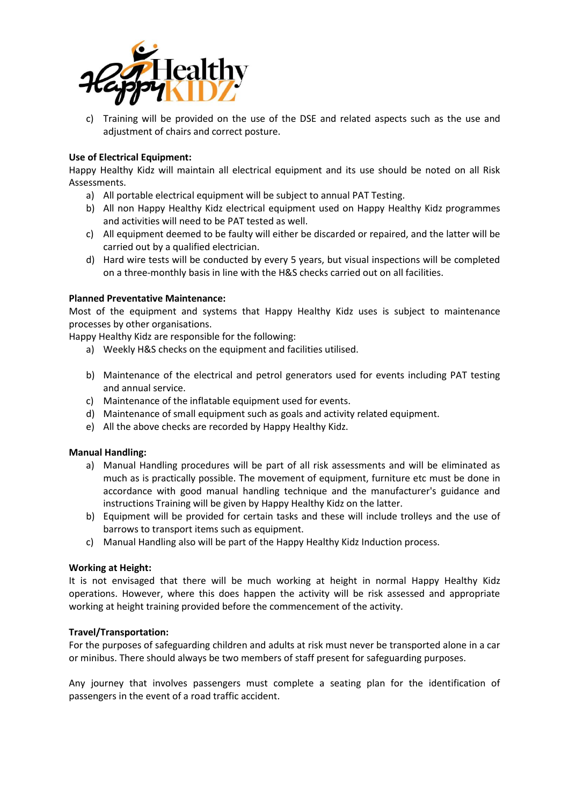

c) Training will be provided on the use of the DSE and related aspects such as the use and adjustment of chairs and correct posture.

## **Use of Electrical Equipment:**

Happy Healthy Kidz will maintain all electrical equipment and its use should be noted on all Risk Assessments.

- a) All portable electrical equipment will be subject to annual PAT Testing.
- b) All non Happy Healthy Kidz electrical equipment used on Happy Healthy Kidz programmes and activities will need to be PAT tested as well.
- c) All equipment deemed to be faulty will either be discarded or repaired, and the latter will be carried out by a qualified electrician.
- d) Hard wire tests will be conducted by every 5 years, but visual inspections will be completed on a three-monthly basis in line with the H&S checks carried out on all facilities.

## **Planned Preventative Maintenance:**

Most of the equipment and systems that Happy Healthy Kidz uses is subject to maintenance processes by other organisations.

Happy Healthy Kidz are responsible for the following:

- a) Weekly H&S checks on the equipment and facilities utilised.
- b) Maintenance of the electrical and petrol generators used for events including PAT testing and annual service.
- c) Maintenance of the inflatable equipment used for events.
- d) Maintenance of small equipment such as goals and activity related equipment.
- e) All the above checks are recorded by Happy Healthy Kidz.

## **Manual Handling:**

- a) Manual Handling procedures will be part of all risk assessments and will be eliminated as much as is practically possible. The movement of equipment, furniture etc must be done in accordance with good manual handling technique and the manufacturer's guidance and instructions Training will be given by Happy Healthy Kidz on the latter.
- b) Equipment will be provided for certain tasks and these will include trolleys and the use of barrows to transport items such as equipment.
- c) Manual Handling also will be part of the Happy Healthy Kidz Induction process.

## **Working at Height:**

It is not envisaged that there will be much working at height in normal Happy Healthy Kidz operations. However, where this does happen the activity will be risk assessed and appropriate working at height training provided before the commencement of the activity.

## **Travel/Transportation:**

For the purposes of safeguarding children and adults at risk must never be transported alone in a car or minibus. There should always be two members of staff present for safeguarding purposes.

Any journey that involves passengers must complete a seating plan for the identification of passengers in the event of a road traffic accident.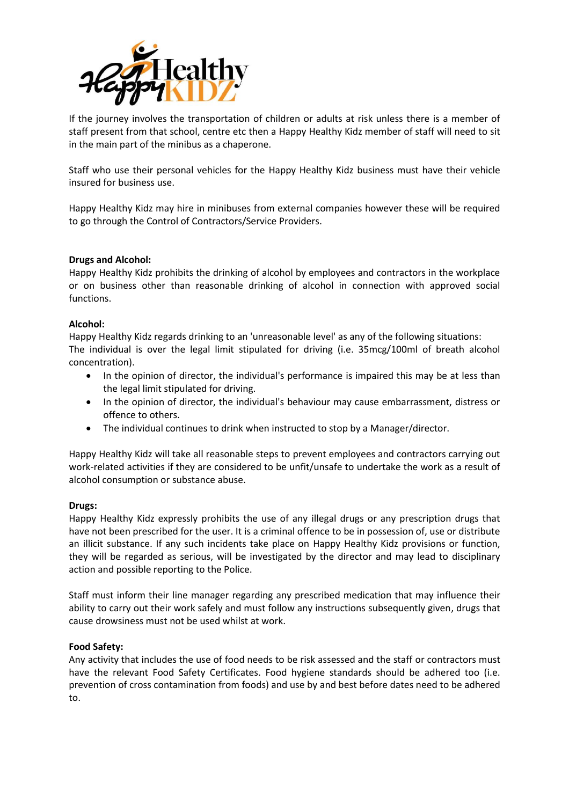

If the journey involves the transportation of children or adults at risk unless there is a member of staff present from that school, centre etc then a Happy Healthy Kidz member of staff will need to sit in the main part of the minibus as a chaperone.

Staff who use their personal vehicles for the Happy Healthy Kidz business must have their vehicle insured for business use.

Happy Healthy Kidz may hire in minibuses from external companies however these will be required to go through the Control of Contractors/Service Providers.

#### **Drugs and Alcohol:**

Happy Healthy Kidz prohibits the drinking of alcohol by employees and contractors in the workplace or on business other than reasonable drinking of alcohol in connection with approved social functions.

#### **Alcohol:**

Happy Healthy Kidz regards drinking to an 'unreasonable level' as any of the following situations: The individual is over the legal limit stipulated for driving (i.e. 35mcg/100ml of breath alcohol concentration).

- In the opinion of director, the individual's performance is impaired this may be at less than the legal limit stipulated for driving.
- In the opinion of director, the individual's behaviour may cause embarrassment, distress or offence to others.
- The individual continues to drink when instructed to stop by a Manager/director.

Happy Healthy Kidz will take all reasonable steps to prevent employees and contractors carrying out work-related activities if they are considered to be unfit/unsafe to undertake the work as a result of alcohol consumption or substance abuse.

#### **Drugs:**

Happy Healthy Kidz expressly prohibits the use of any illegal drugs or any prescription drugs that have not been prescribed for the user. It is a criminal offence to be in possession of, use or distribute an illicit substance. If any such incidents take place on Happy Healthy Kidz provisions or function, they will be regarded as serious, will be investigated by the director and may lead to disciplinary action and possible reporting to the Police.

Staff must inform their line manager regarding any prescribed medication that may influence their ability to carry out their work safely and must follow any instructions subsequently given, drugs that cause drowsiness must not be used whilst at work.

#### **Food Safety:**

Any activity that includes the use of food needs to be risk assessed and the staff or contractors must have the relevant Food Safety Certificates. Food hygiene standards should be adhered too (i.e. prevention of cross contamination from foods) and use by and best before dates need to be adhered to.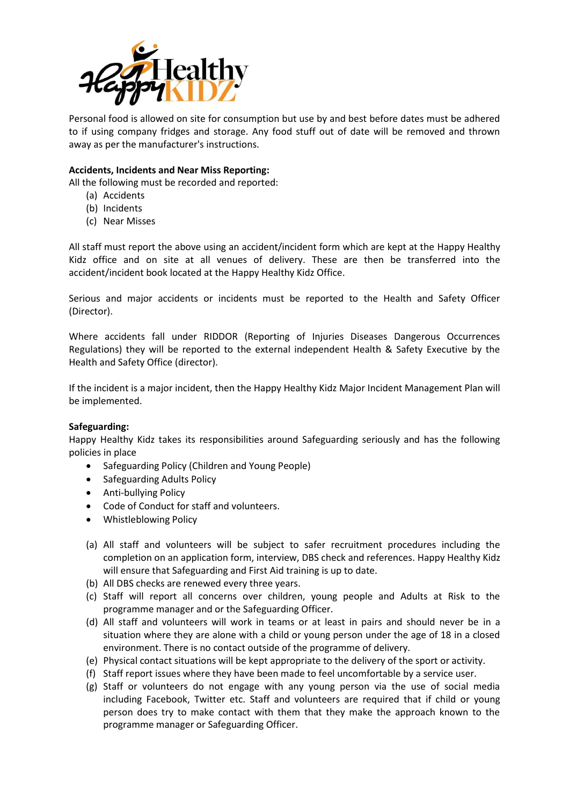

Personal food is allowed on site for consumption but use by and best before dates must be adhered to if using company fridges and storage. Any food stuff out of date will be removed and thrown away as per the manufacturer's instructions.

# **Accidents, Incidents and Near Miss Reporting:**

All the following must be recorded and reported:

- (a) Accidents
- (b) Incidents
- (c) Near Misses

All staff must report the above using an accident/incident form which are kept at the Happy Healthy Kidz office and on site at all venues of delivery. These are then be transferred into the accident/incident book located at the Happy Healthy Kidz Office.

Serious and major accidents or incidents must be reported to the Health and Safety Officer (Director).

Where accidents fall under RIDDOR (Reporting of Injuries Diseases Dangerous Occurrences Regulations) they will be reported to the external independent Health & Safety Executive by the Health and Safety Office (director).

If the incident is a major incident, then the Happy Healthy Kidz Major Incident Management Plan will be implemented.

## **Safeguarding:**

Happy Healthy Kidz takes its responsibilities around Safeguarding seriously and has the following policies in place

- Safeguarding Policy (Children and Young People)
- Safeguarding Adults Policy
- Anti-bullying Policy
- Code of Conduct for staff and volunteers.
- Whistleblowing Policy
- (a) All staff and volunteers will be subject to safer recruitment procedures including the completion on an application form, interview, DBS check and references. Happy Healthy Kidz will ensure that Safeguarding and First Aid training is up to date.
- (b) All DBS checks are renewed every three years.
- (c) Staff will report all concerns over children, young people and Adults at Risk to the programme manager and or the Safeguarding Officer.
- (d) All staff and volunteers will work in teams or at least in pairs and should never be in a situation where they are alone with a child or young person under the age of 18 in a closed environment. There is no contact outside of the programme of delivery.
- (e) Physical contact situations will be kept appropriate to the delivery of the sport or activity.
- (f) Staff report issues where they have been made to feel uncomfortable by a service user.
- (g) Staff or volunteers do not engage with any young person via the use of social media including Facebook, Twitter etc. Staff and volunteers are required that if child or young person does try to make contact with them that they make the approach known to the programme manager or Safeguarding Officer.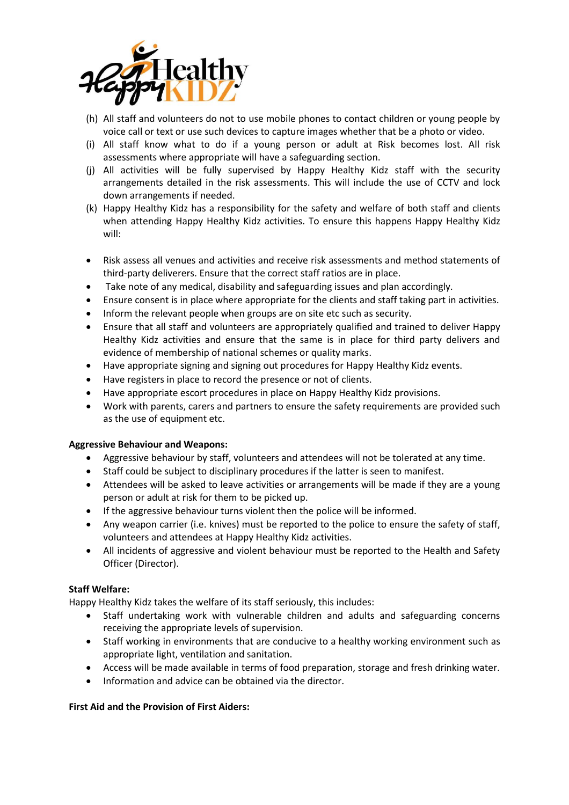

- (h) All staff and volunteers do not to use mobile phones to contact children or young people by voice call or text or use such devices to capture images whether that be a photo or video.
- (i) All staff know what to do if a young person or adult at Risk becomes lost. All risk assessments where appropriate will have a safeguarding section.
- (j) All activities will be fully supervised by Happy Healthy Kidz staff with the security arrangements detailed in the risk assessments. This will include the use of CCTV and lock down arrangements if needed.
- (k) Happy Healthy Kidz has a responsibility for the safety and welfare of both staff and clients when attending Happy Healthy Kidz activities. To ensure this happens Happy Healthy Kidz will:
- Risk assess all venues and activities and receive risk assessments and method statements of third-party deliverers. Ensure that the correct staff ratios are in place.
- Take note of any medical, disability and safeguarding issues and plan accordingly.
- Ensure consent is in place where appropriate for the clients and staff taking part in activities.
- Inform the relevant people when groups are on site etc such as security.
- Ensure that all staff and volunteers are appropriately qualified and trained to deliver Happy Healthy Kidz activities and ensure that the same is in place for third party delivers and evidence of membership of national schemes or quality marks.
- Have appropriate signing and signing out procedures for Happy Healthy Kidz events.
- Have registers in place to record the presence or not of clients.
- Have appropriate escort procedures in place on Happy Healthy Kidz provisions.
- Work with parents, carers and partners to ensure the safety requirements are provided such as the use of equipment etc.

## **Aggressive Behaviour and Weapons:**

- Aggressive behaviour by staff, volunteers and attendees will not be tolerated at any time.
- Staff could be subject to disciplinary procedures if the latter is seen to manifest.
- Attendees will be asked to leave activities or arrangements will be made if they are a young person or adult at risk for them to be picked up.
- If the aggressive behaviour turns violent then the police will be informed.
- Any weapon carrier (i.e. knives) must be reported to the police to ensure the safety of staff, volunteers and attendees at Happy Healthy Kidz activities.
- All incidents of aggressive and violent behaviour must be reported to the Health and Safety Officer (Director).

## **Staff Welfare:**

Happy Healthy Kidz takes the welfare of its staff seriously, this includes:

- Staff undertaking work with vulnerable children and adults and safeguarding concerns receiving the appropriate levels of supervision.
- Staff working in environments that are conducive to a healthy working environment such as appropriate light, ventilation and sanitation.
- Access will be made available in terms of food preparation, storage and fresh drinking water.
- Information and advice can be obtained via the director.

# **First Aid and the Provision of First Aiders:**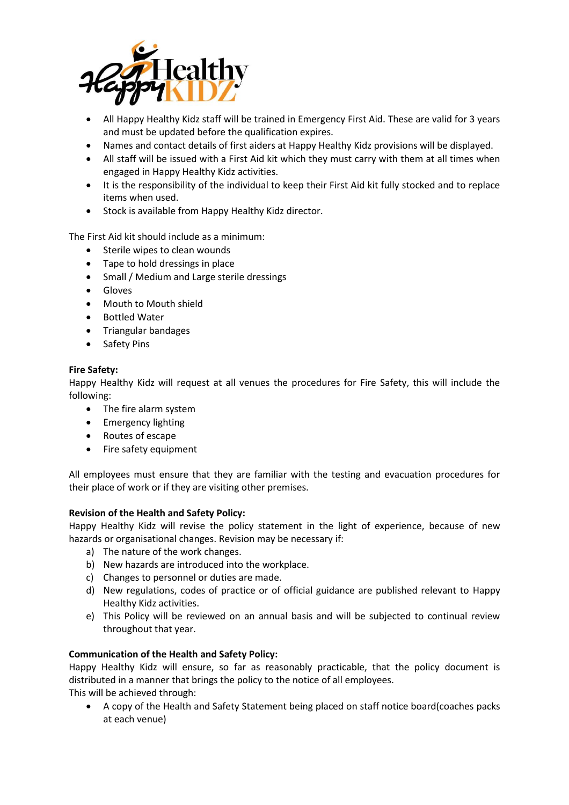

- All Happy Healthy Kidz staff will be trained in Emergency First Aid. These are valid for 3 years and must be updated before the qualification expires.
- Names and contact details of first aiders at Happy Healthy Kidz provisions will be displayed.
- All staff will be issued with a First Aid kit which they must carry with them at all times when engaged in Happy Healthy Kidz activities.
- It is the responsibility of the individual to keep their First Aid kit fully stocked and to replace items when used.
- Stock is available from Happy Healthy Kidz director.

The First Aid kit should include as a minimum:

- Sterile wipes to clean wounds
- Tape to hold dressings in place
- Small / Medium and Large sterile dressings
- Gloves
- Mouth to Mouth shield
- Bottled Water
- Triangular bandages
- Safety Pins

## **Fire Safety:**

Happy Healthy Kidz will request at all venues the procedures for Fire Safety, this will include the following:

- The fire alarm system
- Emergency lighting
- Routes of escape
- Fire safety equipment

All employees must ensure that they are familiar with the testing and evacuation procedures for their place of work or if they are visiting other premises.

## **Revision of the Health and Safety Policy:**

Happy Healthy Kidz will revise the policy statement in the light of experience, because of new hazards or organisational changes. Revision may be necessary if:

- a) The nature of the work changes.
- b) New hazards are introduced into the workplace.
- c) Changes to personnel or duties are made.
- d) New regulations, codes of practice or of official guidance are published relevant to Happy Healthy Kidz activities.
- e) This Policy will be reviewed on an annual basis and will be subjected to continual review throughout that year.

## **Communication of the Health and Safety Policy:**

Happy Healthy Kidz will ensure, so far as reasonably practicable, that the policy document is distributed in a manner that brings the policy to the notice of all employees.

This will be achieved through:

• A copy of the Health and Safety Statement being placed on staff notice board(coaches packs at each venue)